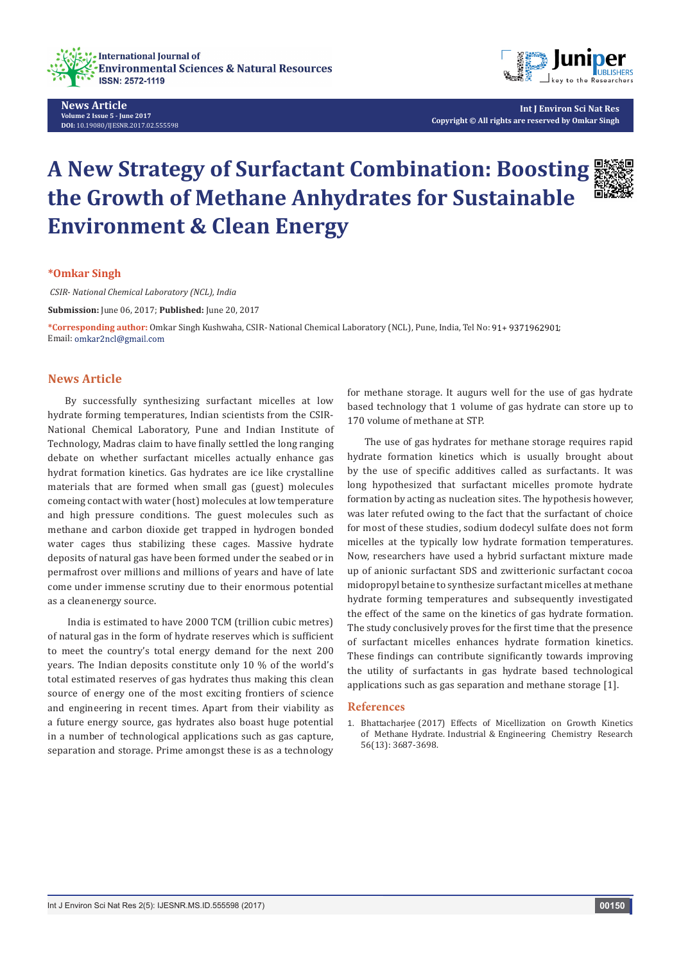

**News Article Volume 2 Issue 5 - June 2017 DOI:** [10.19080/IJESNR.2017.02.555598](http://dx.doi.org/10.19080/IJESNR.2017.02.555598)



**Int J Environ Sci Nat Res Copyright © All rights are reserved by Omkar Singh**

# **A New Strategy of Surfactant Combination: Boosting the Growth of Methane Anhydrates for Sustainable Environment & Clean Energy**

### **\*Omkar Singh**

 *CSIR- National Chemical Laboratory (NCL), India*

**Submission:** June 06, 2017; **Published:** June 20, 2017

\*Corresponding author: Omkar Singh Kushwaha, CSIR- National Chemical Laboratory (NCL), Pune, India, Tel No: 91+ 9371962901; Email: omkar2ncl@gmail.com

#### **News Article**

By successfully synthesizing surfactant micelles at low hydrate forming temperatures, Indian scientists from the CSIR-National Chemical Laboratory, Pune and Indian Institute of Technology, Madras claim to have finally settled the long ranging debate on whether surfactant micelles actually enhance gas hydrat formation kinetics. Gas hydrates are ice like crystalline materials that are formed when small gas (guest) molecules comeing contact with water (host) molecules at low temperature and high pressure conditions. The guest molecules such as methane and carbon dioxide get trapped in hydrogen bonded water cages thus stabilizing these cages. Massive hydrate deposits of natural gas have been formed under the seabed or in permafrost over millions and millions of years and have of late come under immense scrutiny due to their enormous potential as a cleanenergy source.

 India is estimated to have 2000 TCM (trillion cubic metres) of natural gas in the form of hydrate reserves which is sufficient to meet the country's total energy demand for the next 200 years. The Indian deposits constitute only 10 % of the world's total estimated reserves of gas hydrates thus making this clean source of energy one of the most exciting frontiers of science and engineering in recent times. Apart from their viability as a future energy source, gas hydrates also boast huge potential in a number of technological applications such as gas capture, separation and storage. Prime amongst these is as a technology

for methane storage. It augurs well for the use of gas hydrate based technology that 1 volume of gas hydrate can store up to 170 volume of methane at STP.

The use of gas hydrates for methane storage requires rapid hydrate formation kinetics which is usually brought about by the use of specific additives called as surfactants. It was long hypothesized that surfactant micelles promote hydrate formation by acting as nucleation sites. The hypothesis however, was later refuted owing to the fact that the surfactant of choice for most of these studies, sodium dodecyl sulfate does not form micelles at the typically low hydrate formation temperatures. Now, researchers have used a hybrid surfactant mixture made up of anionic surfactant SDS and zwitterionic surfactant cocoa midopropyl betaine to synthesize surfactant micelles at methane hydrate forming temperatures and subsequently investigated the effect of the same on the kinetics of gas hydrate formation. The study conclusively proves for the first time that the presence of surfactant micelles enhances hydrate formation kinetics. These findings can contribute significantly towards improving the utility of surfactants in gas hydrate based technological applications such as gas separation and methane storage [1].

#### **References**

1. [Bhattacharjee \(2017\) Effects of Micellization on Growth Kinetics](http://pubs.acs.org/doi/abs/10.1021/acs.iecr.7b00328?journalCode=iecred)  [of Methane Hydrate. Industrial & Engineering Chemistry Research](http://pubs.acs.org/doi/abs/10.1021/acs.iecr.7b00328?journalCode=iecred)  [56\(13\): 3687-3698.](http://pubs.acs.org/doi/abs/10.1021/acs.iecr.7b00328?journalCode=iecred)